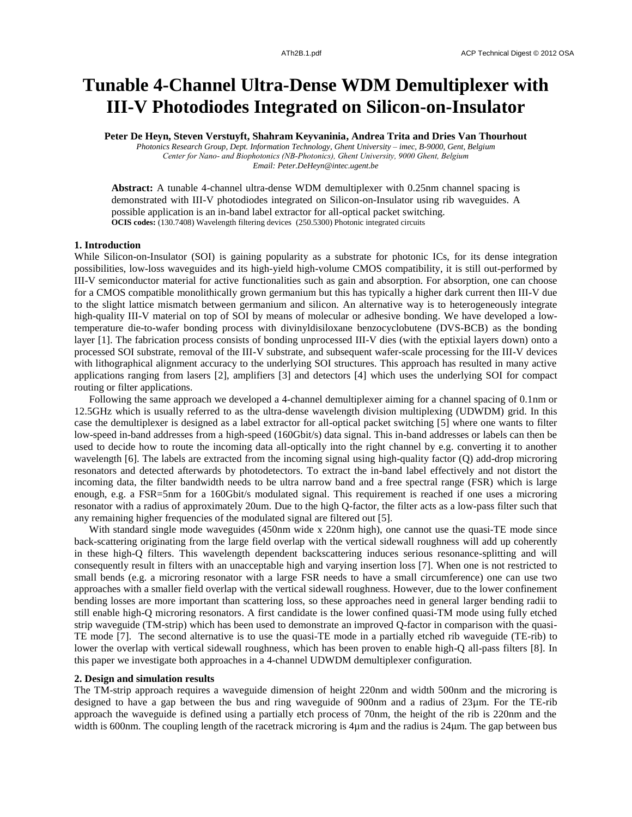# **Tunable 4-Channel Ultra-Dense WDM Demultiplexer with III-V Photodiodes Integrated on Silicon-on-Insulator**

**Peter De Heyn, Steven Verstuyft, Shahram Keyvaninia, Andrea Trita and Dries Van Thourhout**

*Photonics Research Group, Dept. Information Technology, Ghent University – imec, B-9000, Gent, Belgium Center for Nano- and Biophotonics (NB-Photonics), Ghent University, 9000 Ghent, Belgium Email: Peter.DeHeyn@intec.ugent.be*

**Abstract:** A tunable 4-channel ultra-dense WDM demultiplexer with 0.25nm channel spacing is demonstrated with III-V photodiodes integrated on Silicon-on-Insulator using rib waveguides. A possible application is an in-band label extractor for all-optical packet switching. **OCIS codes:** (130.7408) Wavelength filtering devices (250.5300) Photonic integrated circuits

## **1. Introduction**

While Silicon-on-Insulator (SOI) is gaining popularity as a substrate for photonic ICs, for its dense integration possibilities, low-loss waveguides and its high-yield high-volume CMOS compatibility, it is still out-performed by III-V semiconductor material for active functionalities such as gain and absorption. For absorption, one can choose for a CMOS compatible monolithically grown germanium but this has typically a higher dark current then III-V due to the slight lattice mismatch between germanium and silicon. An alternative way is to heterogeneously integrate high-quality III-V material on top of SOI by means of molecular or adhesive bonding. We have developed a lowtemperature die-to-wafer bonding process with divinyldisiloxane benzocyclobutene (DVS-BCB) as the bonding layer [1]. The fabrication process consists of bonding unprocessed III-V dies (with the eptixial layers down) onto a processed SOI substrate, removal of the III-V substrate, and subsequent wafer-scale processing for the III-V devices with lithographical alignment accuracy to the underlying SOI structures. This approach has resulted in many active applications ranging from lasers [2], amplifiers [3] and detectors [4] which uses the underlying SOI for compact routing or filter applications.

Following the same approach we developed a 4-channel demultiplexer aiming for a channel spacing of 0.1nm or 12.5GHz which is usually referred to as the ultra-dense wavelength division multiplexing (UDWDM) grid. In this case the demultiplexer is designed as a label extractor for all-optical packet switching [5] where one wants to filter low-speed in-band addresses from a high-speed (160Gbit/s) data signal. This in-band addresses or labels can then be used to decide how to route the incoming data all-optically into the right channel by e.g. converting it to another wavelength [6]. The labels are extracted from the incoming signal using high-quality factor (Q) add-drop microring resonators and detected afterwards by photodetectors. To extract the in-band label effectively and not distort the incoming data, the filter bandwidth needs to be ultra narrow band and a free spectral range (FSR) which is large enough, e.g. a FSR=5nm for a 160Gbit/s modulated signal. This requirement is reached if one uses a microring resonator with a radius of approximately 20um. Due to the high Q-factor, the filter acts as a low-pass filter such that any remaining higher frequencies of the modulated signal are filtered out [5].

With standard single mode waveguides (450nm wide x 220nm high), one cannot use the quasi-TE mode since back-scattering originating from the large field overlap with the vertical sidewall roughness will add up coherently in these high-Q filters. This wavelength dependent backscattering induces serious resonance-splitting and will consequently result in filters with an unacceptable high and varying insertion loss [7]. When one is not restricted to small bends (e.g. a microring resonator with a large FSR needs to have a small circumference) one can use two approaches with a smaller field overlap with the vertical sidewall roughness. However, due to the lower confinement bending losses are more important than scattering loss, so these approaches need in general larger bending radii to still enable high-Q microring resonators. A first candidate is the lower confined quasi-TM mode using fully etched strip waveguide (TM-strip) which has been used to demonstrate an improved Q-factor in comparison with the quasi-TE mode [7]. The second alternative is to use the quasi-TE mode in a partially etched rib waveguide (TE-rib) to lower the overlap with vertical sidewall roughness, which has been proven to enable high-Q all-pass filters [8]. In this paper we investigate both approaches in a 4-channel UDWDM demultiplexer configuration.

#### **2. Design and simulation results**

The TM-strip approach requires a waveguide dimension of height 220nm and width 500nm and the microring is designed to have a gap between the bus and ring waveguide of 900nm and a radius of 23µm. For the TE-rib approach the waveguide is defined using a partially etch process of 70nm, the height of the rib is 220nm and the width is 600nm. The coupling length of the racetrack microring is  $4\mu$ m and the radius is  $24\mu$ m. The gap between bus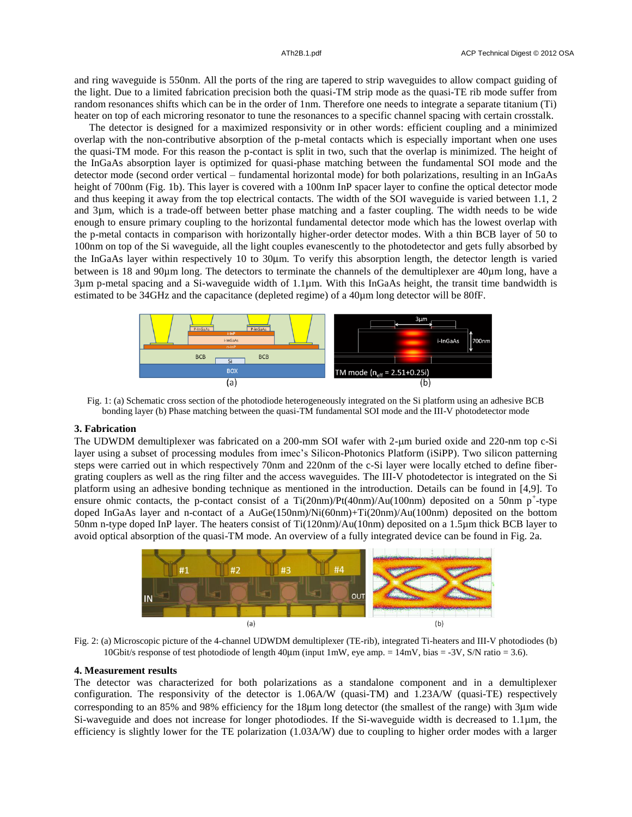and ring waveguide is 550nm. All the ports of the ring are tapered to strip waveguides to allow compact guiding of the light. Due to a limited fabrication precision both the quasi-TM strip mode as the quasi-TE rib mode suffer from random resonances shifts which can be in the order of 1nm. Therefore one needs to integrate a separate titanium (Ti) heater on top of each microring resonator to tune the resonances to a specific channel spacing with certain crosstalk.

The detector is designed for a maximized responsivity or in other words: efficient coupling and a minimized overlap with the non-contributive absorption of the p-metal contacts which is especially important when one uses the quasi-TM mode. For this reason the p-contact is split in two, such that the overlap is minimized. The height of the InGaAs absorption layer is optimized for quasi-phase matching between the fundamental SOI mode and the detector mode (second order vertical – fundamental horizontal mode) for both polarizations, resulting in an InGaAs height of 700nm (Fig. 1b). This layer is covered with a 100nm InP spacer layer to confine the optical detector mode and thus keeping it away from the top electrical contacts. The width of the SOI waveguide is varied between 1.1, 2 and 3µm, which is a trade-off between better phase matching and a faster coupling. The width needs to be wide enough to ensure primary coupling to the horizontal fundamental detector mode which has the lowest overlap with the p-metal contacts in comparison with horizontally higher-order detector modes. With a thin BCB layer of 50 to 100nm on top of the Si waveguide, all the light couples evanescently to the photodetector and gets fully absorbed by the InGaAs layer within respectively 10 to 30μm. To verify this absorption length, the detector length is varied between is 18 and 90µm long. The detectors to terminate the channels of the demultiplexer are 40µm long, have a 3µm p-metal spacing and a Si-waveguide width of 1.1µm. With this InGaAs height, the transit time bandwidth is estimated to be 34GHz and the capacitance (depleted regime) of a 40µm long detector will be 80fF.



Fig. 1: (a) Schematic cross section of the photodiode heterogeneously integrated on the Si platform using an adhesive BCB bonding layer (b) Phase matching between the quasi-TM fundamental SOI mode and the III-V photodetector mode

### **3. Fabrication**

The UDWDM demultiplexer was fabricated on a 200-mm SOI wafer with 2-µm buried oxide and 220-nm top c-Si layer using a subset of processing modules from imec's Silicon-Photonics Platform (iSiPP). Two silicon patterning steps were carried out in which respectively 70nm and 220nm of the c-Si layer were locally etched to define fibergrating couplers as well as the ring filter and the access waveguides. The III-V photodetector is integrated on the Si platform using an adhesive bonding technique as mentioned in the introduction. Details can be found in [4,9]. To ensure ohmic contacts, the p-contact consist of a Ti $(20nm)/Pt(40nm)/Au(100nm)$  deposited on a 50nm p<sup>+</sup>-type doped InGaAs layer and n-contact of a AuGe(150nm)/Ni(60nm)+Ti(20nm)/Au(100nm) deposited on the bottom 50nm n-type doped InP layer. The heaters consist of Ti(120nm)/Au(10nm) deposited on a 1.5µm thick BCB layer to avoid optical absorption of the quasi-TM mode. An overview of a fully integrated device can be found in Fig. 2a.



Fig. 2: (a) Microscopic picture of the 4-channel UDWDM demultiplexer (TE-rib), integrated Ti-heaters and III-V photodiodes (b) 10Gbit/s response of test photodiode of length 40mm (input 1mW, eye amp. = 14mV, bias = -3V, S/N ratio = 3.6).

# **4. Measurement results**

The detector was characterized for both polarizations as a standalone component and in a demultiplexer configuration. The responsivity of the detector is 1.06A/W (quasi-TM) and 1.23A/W (quasi-TE) respectively corresponding to an 85% and 98% efficiency for the 18µm long detector (the smallest of the range) with 3µm wide Si-waveguide and does not increase for longer photodiodes. If the Si-waveguide width is decreased to 1.1µm, the efficiency is slightly lower for the TE polarization (1.03A/W) due to coupling to higher order modes with a larger